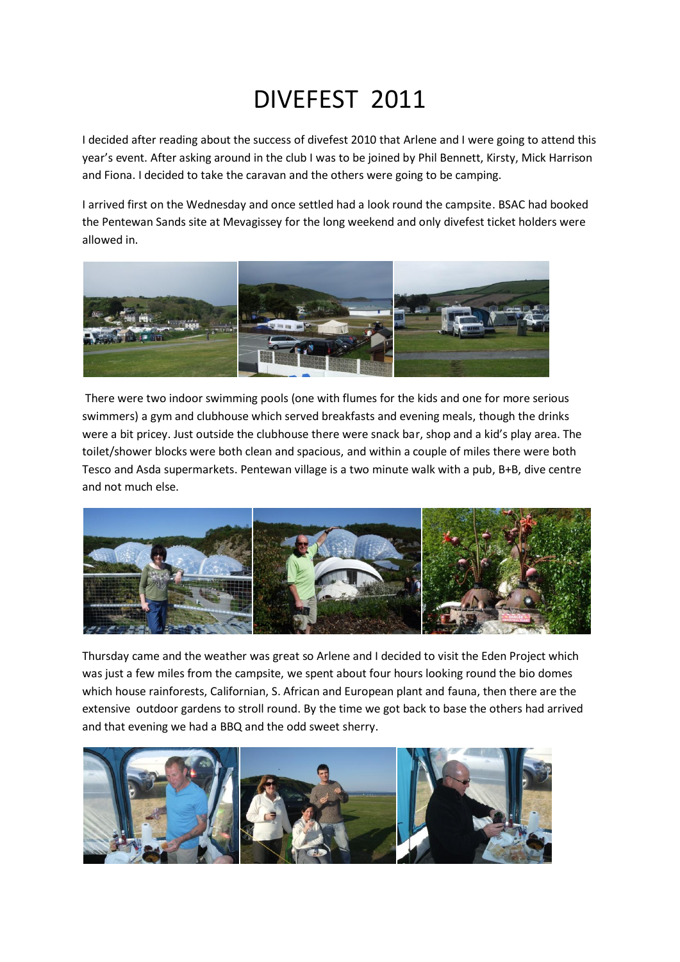## DIVEFEST 2011

I decided after reading about the success of divefest 2010 that Arlene and I were going to attend this year's event. After asking around in the club I was to be joined by Phil Bennett, Kirsty, Mick Harrison and Fiona. I decided to take the caravan and the others were going to be camping.

I arrived first on the Wednesday and once settled had a look round the campsite. BSAC had booked the Pentewan Sands site at Mevagissey for the long weekend and only divefest ticket holders were allowed in.



There were two indoor swimming pools (one with flumes for the kids and one for more serious swimmers) a gym and clubhouse which served breakfasts and evening meals, though the drinks were a bit pricey. Just outside the clubhouse there were snack bar, shop and a kid's play area. The toilet/shower blocks were both clean and spacious, and within a couple of miles there were both Tesco and Asda supermarkets. Pentewan village is a two minute walk with a pub, B+B, dive centre and not much else.



Thursday came and the weather was great so Arlene and I decided to visit the Eden Project which was just a few miles from the campsite, we spent about four hours looking round the bio domes which house rainforests, Californian, S. African and European plant and fauna, then there are the extensive outdoor gardens to stroll round. By the time we got back to base the others had arrived and that evening we had a BBQ and the odd sweet sherry.

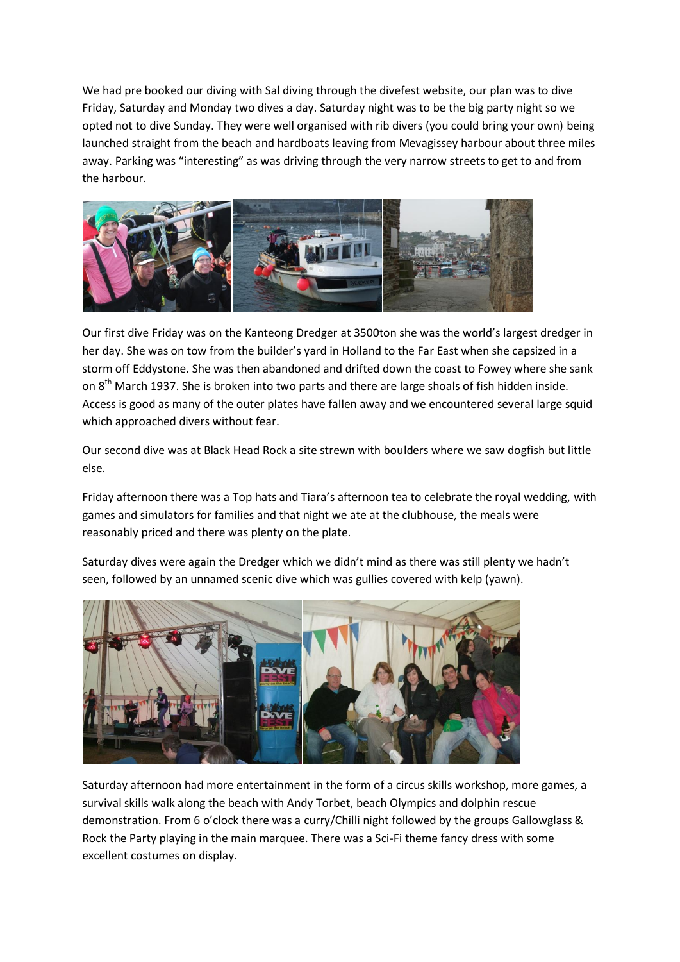We had pre booked our diving with Sal diving through the divefest website, our plan was to dive Friday, Saturday and Monday two dives a day. Saturday night was to be the big party night so we opted not to dive Sunday. They were well organised with rib divers (you could bring your own) being launched straight from the beach and hardboats leaving from Mevagissey harbour about three miles away. Parking was "interesting" as was driving through the very narrow streets to get to and from the harbour.



Our first dive Friday was on the Kanteong Dredger at 3500ton she was the world's largest dredger in her day. She was on tow from the builder's yard in Holland to the Far East when she capsized in a storm off Eddystone. She was then abandoned and drifted down the coast to Fowey where she sank on 8<sup>th</sup> March 1937. She is broken into two parts and there are large shoals of fish hidden inside. Access is good as many of the outer plates have fallen away and we encountered several large squid which approached divers without fear.

Our second dive was at Black Head Rock a site strewn with boulders where we saw dogfish but little else.

Friday afternoon there was a Top hats and Tiara's afternoon tea to celebrate the royal wedding, with games and simulators for families and that night we ate at the clubhouse, the meals were reasonably priced and there was plenty on the plate.

Saturday dives were again the Dredger which we didn't mind as there was still plenty we hadn't seen, followed by an unnamed scenic dive which was gullies covered with kelp (yawn).



Saturday afternoon had more entertainment in the form of a circus skills workshop, more games, a survival skills walk along the beach with Andy Torbet, beach Olympics and dolphin rescue demonstration. From 6 o'clock there was a curry/Chilli night followed by the groups Gallowglass & Rock the Party playing in the main marquee. There was a Sci-Fi theme fancy dress with some excellent costumes on display.